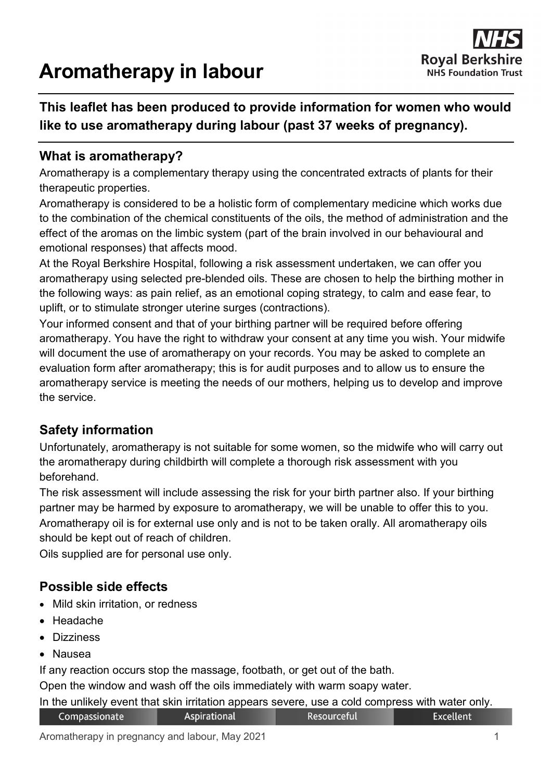# **Aromatherapy in labour**



## **This leaflet has been produced to provide information for women who would like to use aromatherapy during labour (past 37 weeks of pregnancy).**

#### **What is aromatherapy?**

Aromatherapy is a complementary therapy using the concentrated extracts of plants for their therapeutic properties.

Aromatherapy is considered to be a holistic form of complementary medicine which works due to the combination of the chemical constituents of the oils, the method of administration and the effect of the aromas on the limbic system (part of the brain involved in our behavioural and emotional responses) that affects mood.

At the Royal Berkshire Hospital, following a risk assessment undertaken, we can offer you aromatherapy using selected pre-blended oils. These are chosen to help the birthing mother in the following ways: as pain relief, as an emotional coping strategy, to calm and ease fear, to uplift, or to stimulate stronger uterine surges (contractions).

Your informed consent and that of your birthing partner will be required before offering aromatherapy. You have the right to withdraw your consent at any time you wish. Your midwife will document the use of aromatherapy on your records. You may be asked to complete an evaluation form after aromatherapy; this is for audit purposes and to allow us to ensure the aromatherapy service is meeting the needs of our mothers, helping us to develop and improve the service.

#### **Safety information**

Unfortunately, aromatherapy is not suitable for some women, so the midwife who will carry out the aromatherapy during childbirth will complete a thorough risk assessment with you beforehand.

The risk assessment will include assessing the risk for your birth partner also. If your birthing partner may be harmed by exposure to aromatherapy, we will be unable to offer this to you. Aromatherapy oil is for external use only and is not to be taken orally. All aromatherapy oils should be kept out of reach of children.

Oils supplied are for personal use only.

#### **Possible side effects**

- Mild skin irritation, or redness
- Headache
- Dizziness
- Nausea

If any reaction occurs stop the massage, footbath, or get out of the bath.

Open the window and wash off the oils immediately with warm soapy water.

In the unlikely event that skin irritation appears severe, use a cold compress with water only.

| Compassionate | Aspirational | Resourceful | Excellent |
|---------------|--------------|-------------|-----------|
|---------------|--------------|-------------|-----------|